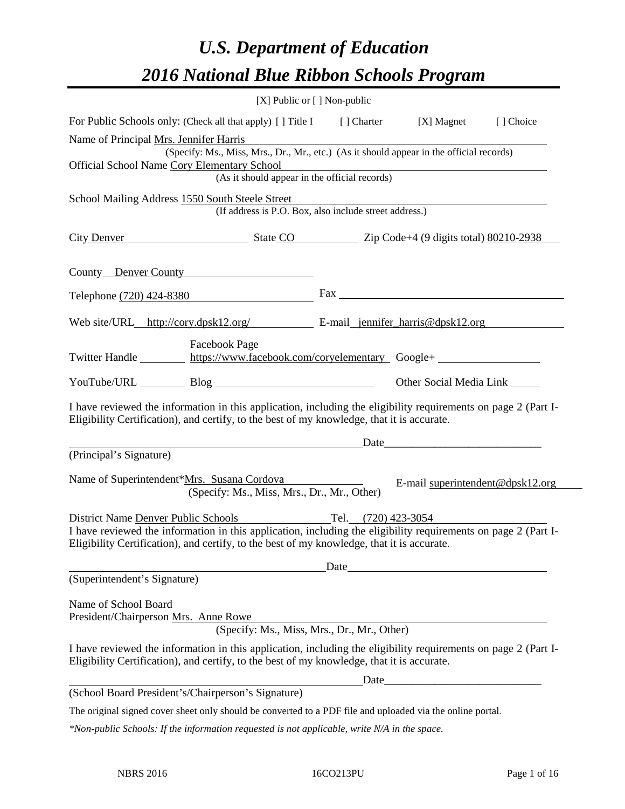# *U.S. Department of Education 2016 National Blue Ribbon Schools Program*

|                                                                                                                                                                                                              | $[X]$ Public or $[ \ ]$ Non-public                              |                                                                                                                      |                                  |
|--------------------------------------------------------------------------------------------------------------------------------------------------------------------------------------------------------------|-----------------------------------------------------------------|----------------------------------------------------------------------------------------------------------------------|----------------------------------|
| For Public Schools only: (Check all that apply) [] Title I [] Charter [X] Magnet                                                                                                                             |                                                                 |                                                                                                                      | [] Choice                        |
| Name of Principal Mrs. Jennifer Harris                                                                                                                                                                       |                                                                 |                                                                                                                      |                                  |
| (Specify: Ms., Miss, Mrs., Dr., Mr., etc.) (As it should appear in the official records)                                                                                                                     |                                                                 |                                                                                                                      |                                  |
| <b>Official School Name Cory Elementary School</b>                                                                                                                                                           | mentary School<br>(As it should appear in the official records) |                                                                                                                      |                                  |
|                                                                                                                                                                                                              |                                                                 |                                                                                                                      |                                  |
| School Mailing Address 1550 South Steele Street                                                                                                                                                              | (If address is P.O. Box, also include street address.)          |                                                                                                                      |                                  |
| City Denver State CO Zip Code+4 (9 digits total) 80210-2938                                                                                                                                                  |                                                                 |                                                                                                                      |                                  |
| County Denver County                                                                                                                                                                                         |                                                                 |                                                                                                                      |                                  |
| Telephone (720) 424-8380                                                                                                                                                                                     |                                                                 |                                                                                                                      |                                  |
| Web site/URL_http://cory.dpsk12.org/ E-mail_jennifer harris@dpsk12.org                                                                                                                                       |                                                                 |                                                                                                                      |                                  |
| <b>Facebook Page</b><br>Twitter Handle https://www.facebook.com/coryelementary Google+                                                                                                                       |                                                                 |                                                                                                                      |                                  |
| YouTube/URL Blog Blog                                                                                                                                                                                        |                                                                 | Other Social Media Link ______                                                                                       |                                  |
| I have reviewed the information in this application, including the eligibility requirements on page 2 (Part I-<br>Eligibility Certification), and certify, to the best of my knowledge, that it is accurate. |                                                                 |                                                                                                                      |                                  |
| Date                                                                                                                                                                                                         |                                                                 |                                                                                                                      |                                  |
| (Principal's Signature)                                                                                                                                                                                      |                                                                 |                                                                                                                      |                                  |
| Name of Superintendent*Mrs. Susana Cordova<br>(Specify: Ms., Miss, Mrs., Dr., Mr., Other)                                                                                                                    |                                                                 |                                                                                                                      | E-mail superintendent@dpsk12.org |
| District Name Denver Public Schools Tel. (720) 423-3054                                                                                                                                                      |                                                                 |                                                                                                                      |                                  |
| I have reviewed the information in this application, including the eligibility requirements on page 2 (Part I-<br>Eligibility Certification), and certify, to the best of my knowledge, that it is accurate. |                                                                 |                                                                                                                      |                                  |
|                                                                                                                                                                                                              |                                                                 |                                                                                                                      |                                  |
| (Superintendent's Signature)                                                                                                                                                                                 | Date                                                            |                                                                                                                      |                                  |
| Name of School Board<br>President/Chairperson Mrs. Anne Rowe                                                                                                                                                 |                                                                 |                                                                                                                      |                                  |
|                                                                                                                                                                                                              | (Specify: Ms., Miss, Mrs., Dr., Mr., Other)                     |                                                                                                                      |                                  |
| I have reviewed the information in this application, including the eligibility requirements on page 2 (Part I-<br>Eligibility Certification), and certify, to the best of my knowledge, that it is accurate. |                                                                 |                                                                                                                      |                                  |
|                                                                                                                                                                                                              | Date                                                            | <u> 1989 - Johann Barn, mars eta bainar eta bainar eta baina eta baina eta baina eta baina eta baina eta baina e</u> |                                  |
| (School Board President's/Chairperson's Signature)                                                                                                                                                           |                                                                 |                                                                                                                      |                                  |
| The original signed cover sheet only should be converted to a PDF file and uploaded via the online portal.                                                                                                   |                                                                 |                                                                                                                      |                                  |
| *Non-public Schools: If the information requested is not applicable, write N/A in the space.                                                                                                                 |                                                                 |                                                                                                                      |                                  |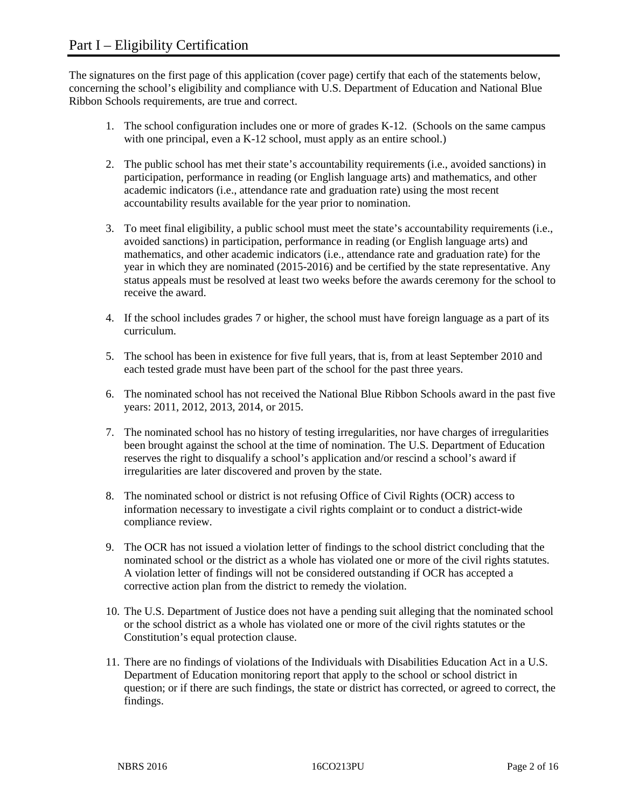The signatures on the first page of this application (cover page) certify that each of the statements below, concerning the school's eligibility and compliance with U.S. Department of Education and National Blue Ribbon Schools requirements, are true and correct.

- 1. The school configuration includes one or more of grades K-12. (Schools on the same campus with one principal, even a K-12 school, must apply as an entire school.)
- 2. The public school has met their state's accountability requirements (i.e., avoided sanctions) in participation, performance in reading (or English language arts) and mathematics, and other academic indicators (i.e., attendance rate and graduation rate) using the most recent accountability results available for the year prior to nomination.
- 3. To meet final eligibility, a public school must meet the state's accountability requirements (i.e., avoided sanctions) in participation, performance in reading (or English language arts) and mathematics, and other academic indicators (i.e., attendance rate and graduation rate) for the year in which they are nominated (2015-2016) and be certified by the state representative. Any status appeals must be resolved at least two weeks before the awards ceremony for the school to receive the award.
- 4. If the school includes grades 7 or higher, the school must have foreign language as a part of its curriculum.
- 5. The school has been in existence for five full years, that is, from at least September 2010 and each tested grade must have been part of the school for the past three years.
- 6. The nominated school has not received the National Blue Ribbon Schools award in the past five years: 2011, 2012, 2013, 2014, or 2015.
- 7. The nominated school has no history of testing irregularities, nor have charges of irregularities been brought against the school at the time of nomination. The U.S. Department of Education reserves the right to disqualify a school's application and/or rescind a school's award if irregularities are later discovered and proven by the state.
- 8. The nominated school or district is not refusing Office of Civil Rights (OCR) access to information necessary to investigate a civil rights complaint or to conduct a district-wide compliance review.
- 9. The OCR has not issued a violation letter of findings to the school district concluding that the nominated school or the district as a whole has violated one or more of the civil rights statutes. A violation letter of findings will not be considered outstanding if OCR has accepted a corrective action plan from the district to remedy the violation.
- 10. The U.S. Department of Justice does not have a pending suit alleging that the nominated school or the school district as a whole has violated one or more of the civil rights statutes or the Constitution's equal protection clause.
- 11. There are no findings of violations of the Individuals with Disabilities Education Act in a U.S. Department of Education monitoring report that apply to the school or school district in question; or if there are such findings, the state or district has corrected, or agreed to correct, the findings.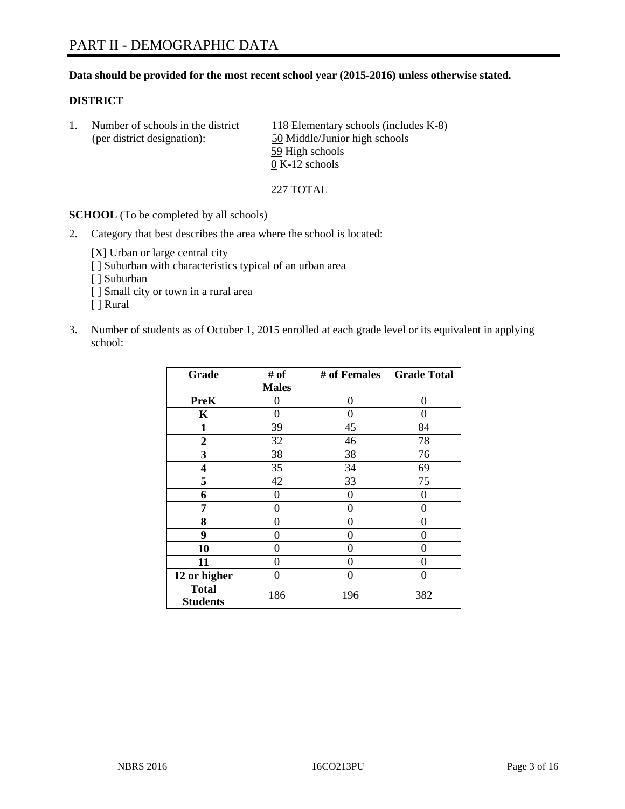#### **Data should be provided for the most recent school year (2015-2016) unless otherwise stated.**

#### **DISTRICT**

1. Number of schools in the district  $118$  Elementary schools (includes K-8) (per district designation): 50 Middle/Junior high schools 59 High schools  $\overline{0}$  K-12 schools

227 TOTAL

**SCHOOL** (To be completed by all schools)

2. Category that best describes the area where the school is located:

[X] Urban or large central city [ ] Suburban with characteristics typical of an urban area [ ] Suburban [ ] Small city or town in a rural area [ ] Rural

3. Number of students as of October 1, 2015 enrolled at each grade level or its equivalent in applying school:

| Grade                           | # of         | # of Females | <b>Grade Total</b> |
|---------------------------------|--------------|--------------|--------------------|
|                                 | <b>Males</b> |              |                    |
| <b>PreK</b>                     | 0            | 0            | 0                  |
| K                               | 0            | 0            | 0                  |
| 1                               | 39           | 45           | 84                 |
| $\overline{2}$                  | 32           | 46           | 78                 |
| 3                               | 38           | 38           | 76                 |
| 4                               | 35           | 34           | 69                 |
| 5                               | 42           | 33           | 75                 |
| 6                               | 0            | 0            | $\mathbf{\Omega}$  |
| 7                               | 0            | 0            | 0                  |
| 8                               | 0            | 0            | 0                  |
| 9                               | 0            | 0            | 0                  |
| 10                              | 0            | 0            | 0                  |
| 11                              | 0            | 0            | 0                  |
| 12 or higher                    | 0            | 0            | $\Omega$           |
| <b>Total</b><br><b>Students</b> | 186          | 196          | 382                |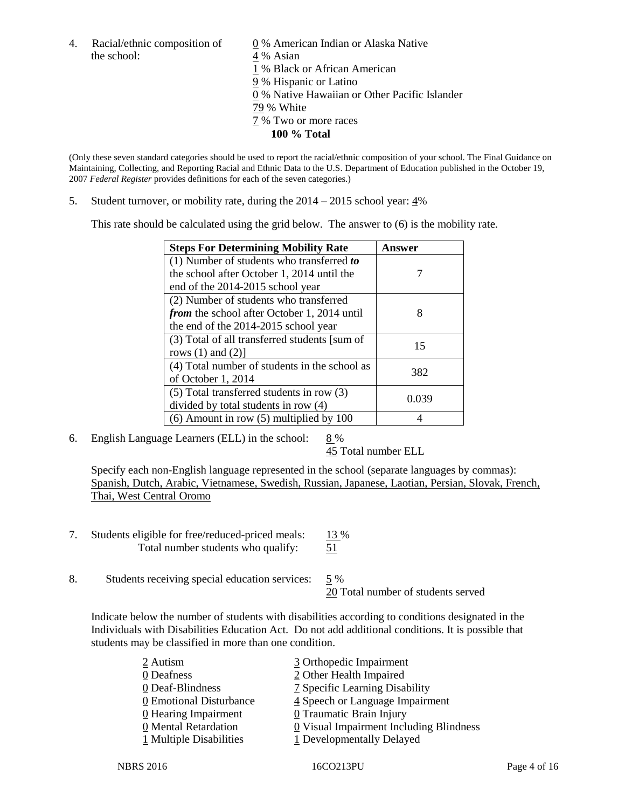4. Racial/ethnic composition of  $\qquad \qquad \underline{0}$  % American Indian or Alaska Native the school: 4 % Asian

 % Black or African American % Hispanic or Latino % Native Hawaiian or Other Pacific Islander 79 % White % Two or more races **100 % Total**

(Only these seven standard categories should be used to report the racial/ethnic composition of your school. The Final Guidance on Maintaining, Collecting, and Reporting Racial and Ethnic Data to the U.S. Department of Education published in the October 19, 2007 *Federal Register* provides definitions for each of the seven categories.)

5. Student turnover, or mobility rate, during the  $2014 - 2015$  school year:  $4\%$ 

This rate should be calculated using the grid below. The answer to (6) is the mobility rate.

| <b>Steps For Determining Mobility Rate</b>         | Answer |  |
|----------------------------------------------------|--------|--|
| (1) Number of students who transferred to          |        |  |
| the school after October 1, 2014 until the         |        |  |
| end of the 2014-2015 school year                   |        |  |
| (2) Number of students who transferred             |        |  |
| <i>from</i> the school after October 1, 2014 until | 8      |  |
| the end of the 2014-2015 school year               |        |  |
| (3) Total of all transferred students [sum of      | 15     |  |
| rows $(1)$ and $(2)$ ]                             |        |  |
| (4) Total number of students in the school as      | 382    |  |
| of October 1, 2014                                 |        |  |
| $(5)$ Total transferred students in row $(3)$      | 0.039  |  |
| divided by total students in row (4)               |        |  |
| $(6)$ Amount in row $(5)$ multiplied by 100        |        |  |

6. English Language Learners (ELL) in the school:  $8\%$ 

45 Total number ELL

Specify each non-English language represented in the school (separate languages by commas): Spanish, Dutch, Arabic, Vietnamese, Swedish, Russian, Japanese, Laotian, Persian, Slovak, French, Thai, West Central Oromo

- 7. Students eligible for free/reduced-priced meals: 13 % Total number students who qualify:  $\frac{51}{2}$
- 8. Students receiving special education services: 5 %

20 Total number of students served

Indicate below the number of students with disabilities according to conditions designated in the Individuals with Disabilities Education Act. Do not add additional conditions. It is possible that students may be classified in more than one condition.

| 2 Autism                | 3 Orthopedic Impairment                   |
|-------------------------|-------------------------------------------|
| 0 Deafness              | 2 Other Health Impaired                   |
| 0 Deaf-Blindness        | 7 Specific Learning Disability            |
| 0 Emotional Disturbance | 4 Speech or Language Impairment           |
| $Q$ Hearing Impairment  | <b>0</b> Traumatic Brain Injury           |
| 0 Mental Retardation    | $Q$ Visual Impairment Including Blindness |
| 1 Multiple Disabilities | 1 Developmentally Delayed                 |
|                         |                                           |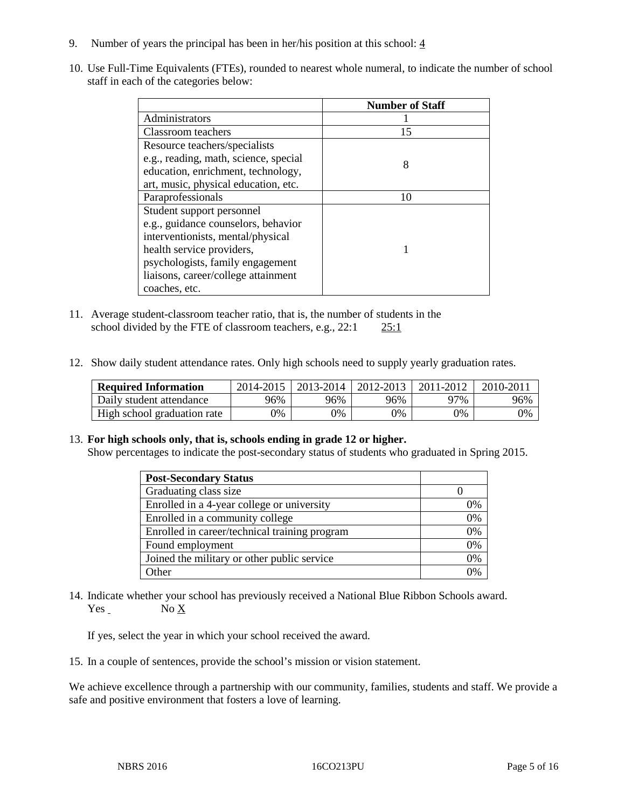- 9. Number of years the principal has been in her/his position at this school:  $\frac{4}{3}$
- 10. Use Full-Time Equivalents (FTEs), rounded to nearest whole numeral, to indicate the number of school staff in each of the categories below:

|                                       | <b>Number of Staff</b> |
|---------------------------------------|------------------------|
| Administrators                        |                        |
| Classroom teachers                    | 15                     |
| Resource teachers/specialists         |                        |
| e.g., reading, math, science, special | 8                      |
| education, enrichment, technology,    |                        |
| art, music, physical education, etc.  |                        |
| Paraprofessionals                     | 10                     |
| Student support personnel             |                        |
| e.g., guidance counselors, behavior   |                        |
| interventionists, mental/physical     |                        |
| health service providers,             |                        |
| psychologists, family engagement      |                        |
| liaisons, career/college attainment   |                        |
| coaches, etc.                         |                        |

- 11. Average student-classroom teacher ratio, that is, the number of students in the school divided by the FTE of classroom teachers, e.g., 22:1 25:1
- 12. Show daily student attendance rates. Only high schools need to supply yearly graduation rates.

| <b>Required Information</b> | 2014-2015 | $2013 - 2014$ | $\mid$ 2012-2013 | 2011-2012 | 2010-2011 |
|-----------------------------|-----------|---------------|------------------|-----------|-----------|
| Daily student attendance    | 96%       | 96%           | 96%              | 97%       | 96%       |
| High school graduation rate | 9%        | 0%            | 0%               | 9%        | 0%        |

#### 13. **For high schools only, that is, schools ending in grade 12 or higher.**

Show percentages to indicate the post-secondary status of students who graduated in Spring 2015.

| <b>Post-Secondary Status</b>                  |    |
|-----------------------------------------------|----|
| Graduating class size                         |    |
| Enrolled in a 4-year college or university    | 0% |
| Enrolled in a community college               | 0% |
| Enrolled in career/technical training program | 0% |
| Found employment                              | 0% |
| Joined the military or other public service   | 0% |
| Other                                         | 0/ |

14. Indicate whether your school has previously received a National Blue Ribbon Schools award. Yes No X

If yes, select the year in which your school received the award.

15. In a couple of sentences, provide the school's mission or vision statement.

We achieve excellence through a partnership with our community, families, students and staff. We provide a safe and positive environment that fosters a love of learning.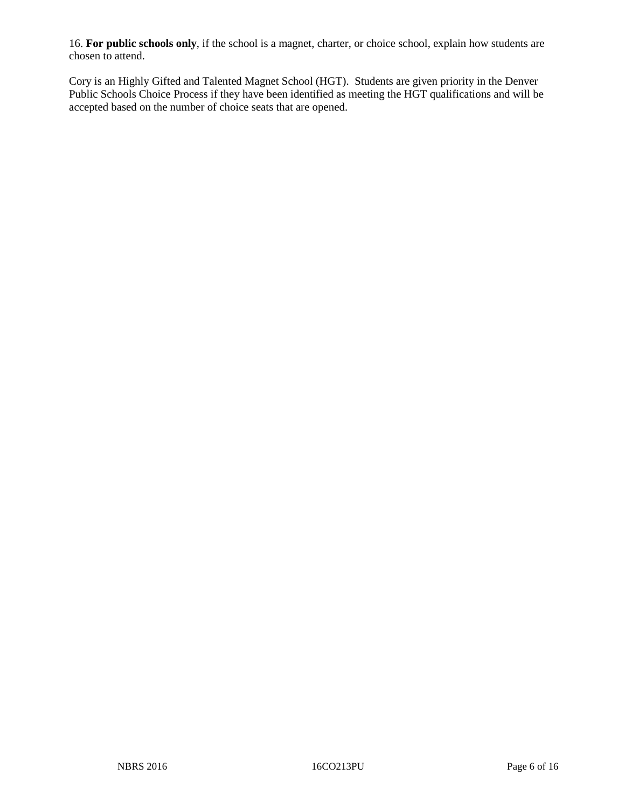16. **For public schools only**, if the school is a magnet, charter, or choice school, explain how students are chosen to attend.

Cory is an Highly Gifted and Talented Magnet School (HGT). Students are given priority in the Denver Public Schools Choice Process if they have been identified as meeting the HGT qualifications and will be accepted based on the number of choice seats that are opened.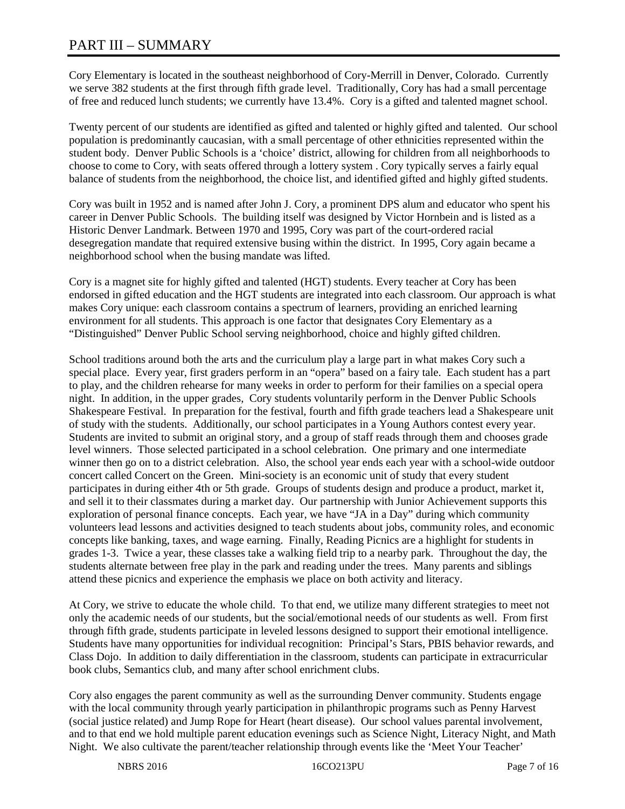# PART III – SUMMARY

Cory Elementary is located in the southeast neighborhood of Cory-Merrill in Denver, Colorado. Currently we serve 382 students at the first through fifth grade level. Traditionally, Cory has had a small percentage of free and reduced lunch students; we currently have 13.4%. Cory is a gifted and talented magnet school.

Twenty percent of our students are identified as gifted and talented or highly gifted and talented. Our school population is predominantly caucasian, with a small percentage of other ethnicities represented within the student body. Denver Public Schools is a 'choice' district, allowing for children from all neighborhoods to choose to come to Cory, with seats offered through a lottery system . Cory typically serves a fairly equal balance of students from the neighborhood, the choice list, and identified gifted and highly gifted students.

Cory was built in 1952 and is named after John J. Cory, a prominent DPS alum and educator who spent his career in Denver Public Schools. The building itself was designed by Victor Hornbein and is listed as a Historic Denver Landmark. Between 1970 and 1995, Cory was part of the court-ordered racial desegregation mandate that required extensive busing within the district. In 1995, Cory again became a neighborhood school when the busing mandate was lifted.

Cory is a magnet site for highly gifted and talented (HGT) students. Every teacher at Cory has been endorsed in gifted education and the HGT students are integrated into each classroom. Our approach is what makes Cory unique: each classroom contains a spectrum of learners, providing an enriched learning environment for all students. This approach is one factor that designates Cory Elementary as a "Distinguished" Denver Public School serving neighborhood, choice and highly gifted children.

School traditions around both the arts and the curriculum play a large part in what makes Cory such a special place. Every year, first graders perform in an "opera" based on a fairy tale. Each student has a part to play, and the children rehearse for many weeks in order to perform for their families on a special opera night. In addition, in the upper grades, Cory students voluntarily perform in the Denver Public Schools Shakespeare Festival. In preparation for the festival, fourth and fifth grade teachers lead a Shakespeare unit of study with the students. Additionally, our school participates in a Young Authors contest every year. Students are invited to submit an original story, and a group of staff reads through them and chooses grade level winners. Those selected participated in a school celebration. One primary and one intermediate winner then go on to a district celebration. Also, the school year ends each year with a school-wide outdoor concert called Concert on the Green. Mini-society is an economic unit of study that every student participates in during either 4th or 5th grade. Groups of students design and produce a product, market it, and sell it to their classmates during a market day. Our partnership with Junior Achievement supports this exploration of personal finance concepts. Each year, we have "JA in a Day" during which community volunteers lead lessons and activities designed to teach students about jobs, community roles, and economic concepts like banking, taxes, and wage earning. Finally, Reading Picnics are a highlight for students in grades 1-3. Twice a year, these classes take a walking field trip to a nearby park. Throughout the day, the students alternate between free play in the park and reading under the trees. Many parents and siblings attend these picnics and experience the emphasis we place on both activity and literacy.

At Cory, we strive to educate the whole child. To that end, we utilize many different strategies to meet not only the academic needs of our students, but the social/emotional needs of our students as well. From first through fifth grade, students participate in leveled lessons designed to support their emotional intelligence. Students have many opportunities for individual recognition: Principal's Stars, PBIS behavior rewards, and Class Dojo. In addition to daily differentiation in the classroom, students can participate in extracurricular book clubs, Semantics club, and many after school enrichment clubs.

Cory also engages the parent community as well as the surrounding Denver community. Students engage with the local community through yearly participation in philanthropic programs such as Penny Harvest (social justice related) and Jump Rope for Heart (heart disease). Our school values parental involvement, and to that end we hold multiple parent education evenings such as Science Night, Literacy Night, and Math Night. We also cultivate the parent/teacher relationship through events like the 'Meet Your Teacher'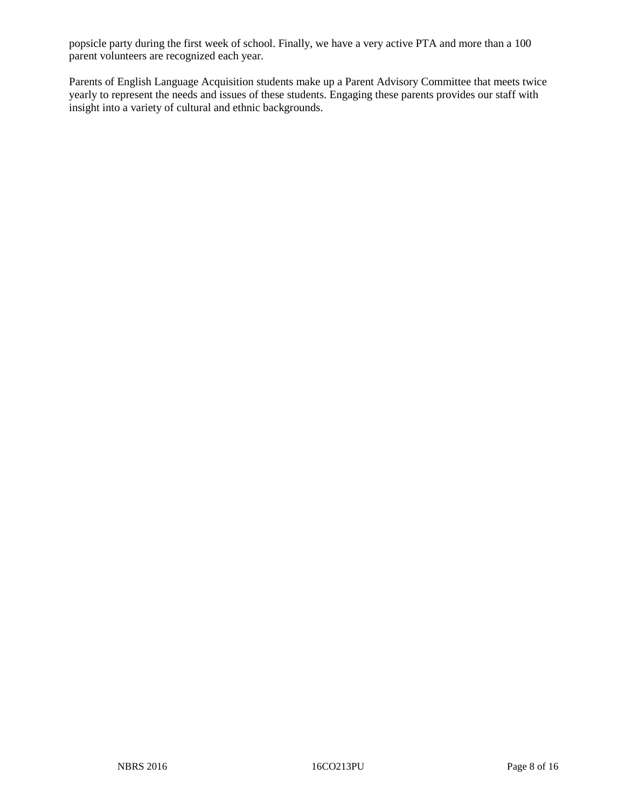popsicle party during the first week of school. Finally, we have a very active PTA and more than a 100 parent volunteers are recognized each year.

Parents of English Language Acquisition students make up a Parent Advisory Committee that meets twice yearly to represent the needs and issues of these students. Engaging these parents provides our staff with insight into a variety of cultural and ethnic backgrounds.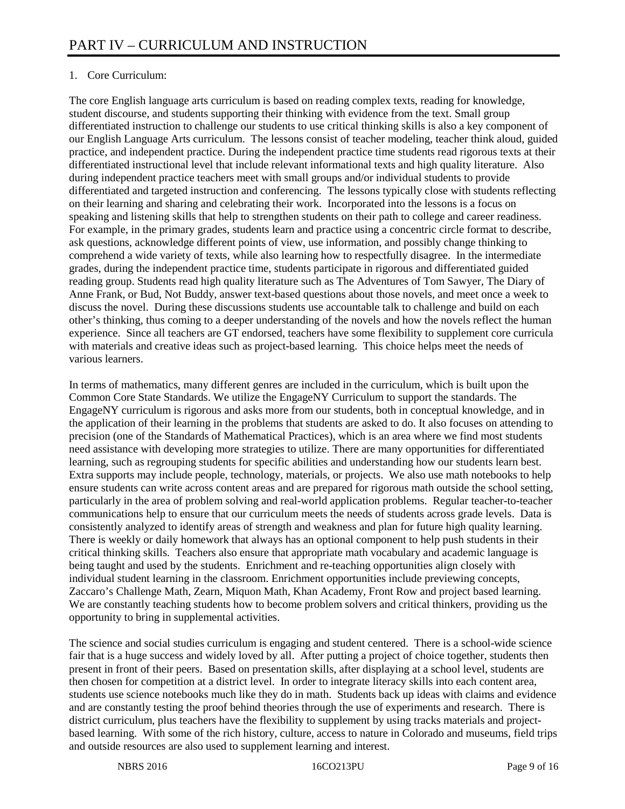## 1. Core Curriculum:

The core English language arts curriculum is based on reading complex texts, reading for knowledge, student discourse, and students supporting their thinking with evidence from the text. Small group differentiated instruction to challenge our students to use critical thinking skills is also a key component of our English Language Arts curriculum. The lessons consist of teacher modeling, teacher think aloud, guided practice, and independent practice. During the independent practice time students read rigorous texts at their differentiated instructional level that include relevant informational texts and high quality literature. Also during independent practice teachers meet with small groups and/or individual students to provide differentiated and targeted instruction and conferencing. The lessons typically close with students reflecting on their learning and sharing and celebrating their work. Incorporated into the lessons is a focus on speaking and listening skills that help to strengthen students on their path to college and career readiness. For example, in the primary grades, students learn and practice using a concentric circle format to describe, ask questions, acknowledge different points of view, use information, and possibly change thinking to comprehend a wide variety of texts, while also learning how to respectfully disagree. In the intermediate grades, during the independent practice time, students participate in rigorous and differentiated guided reading group. Students read high quality literature such as The Adventures of Tom Sawyer, The Diary of Anne Frank, or Bud, Not Buddy, answer text-based questions about those novels, and meet once a week to discuss the novel. During these discussions students use accountable talk to challenge and build on each other's thinking, thus coming to a deeper understanding of the novels and how the novels reflect the human experience. Since all teachers are GT endorsed, teachers have some flexibility to supplement core curricula with materials and creative ideas such as project-based learning. This choice helps meet the needs of various learners.

In terms of mathematics, many different genres are included in the curriculum, which is built upon the Common Core State Standards. We utilize the EngageNY Curriculum to support the standards. The EngageNY curriculum is rigorous and asks more from our students, both in conceptual knowledge, and in the application of their learning in the problems that students are asked to do. It also focuses on attending to precision (one of the Standards of Mathematical Practices), which is an area where we find most students need assistance with developing more strategies to utilize. There are many opportunities for differentiated learning, such as regrouping students for specific abilities and understanding how our students learn best. Extra supports may include people, technology, materials, or projects. We also use math notebooks to help ensure students can write across content areas and are prepared for rigorous math outside the school setting, particularly in the area of problem solving and real-world application problems. Regular teacher-to-teacher communications help to ensure that our curriculum meets the needs of students across grade levels. Data is consistently analyzed to identify areas of strength and weakness and plan for future high quality learning. There is weekly or daily homework that always has an optional component to help push students in their critical thinking skills. Teachers also ensure that appropriate math vocabulary and academic language is being taught and used by the students. Enrichment and re-teaching opportunities align closely with individual student learning in the classroom. Enrichment opportunities include previewing concepts, Zaccaro's Challenge Math, Zearn, Miquon Math, Khan Academy, Front Row and project based learning. We are constantly teaching students how to become problem solvers and critical thinkers, providing us the opportunity to bring in supplemental activities.

The science and social studies curriculum is engaging and student centered. There is a school-wide science fair that is a huge success and widely loved by all. After putting a project of choice together, students then present in front of their peers. Based on presentation skills, after displaying at a school level, students are then chosen for competition at a district level. In order to integrate literacy skills into each content area, students use science notebooks much like they do in math. Students back up ideas with claims and evidence and are constantly testing the proof behind theories through the use of experiments and research. There is district curriculum, plus teachers have the flexibility to supplement by using tracks materials and projectbased learning. With some of the rich history, culture, access to nature in Colorado and museums, field trips and outside resources are also used to supplement learning and interest.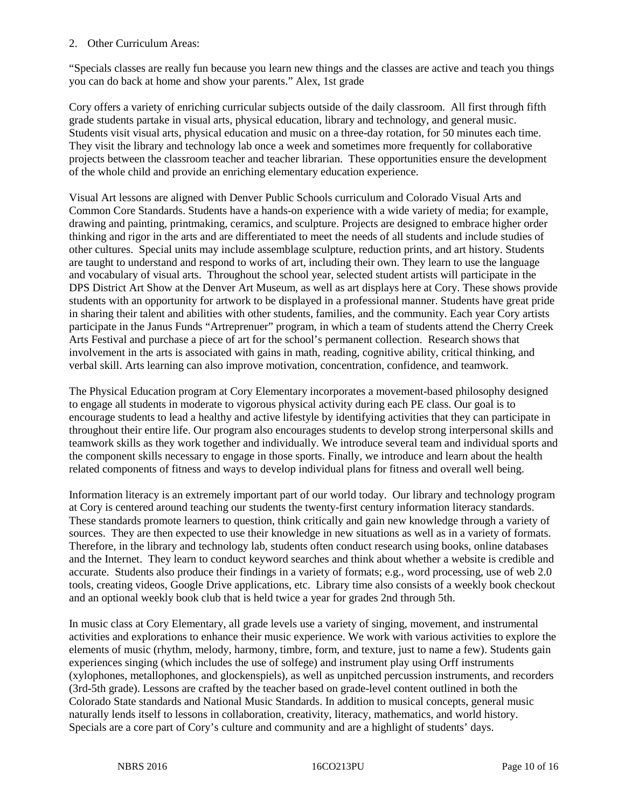#### 2. Other Curriculum Areas:

"Specials classes are really fun because you learn new things and the classes are active and teach you things you can do back at home and show your parents." Alex, 1st grade

Cory offers a variety of enriching curricular subjects outside of the daily classroom. All first through fifth grade students partake in visual arts, physical education, library and technology, and general music. Students visit visual arts, physical education and music on a three-day rotation, for 50 minutes each time. They visit the library and technology lab once a week and sometimes more frequently for collaborative projects between the classroom teacher and teacher librarian. These opportunities ensure the development of the whole child and provide an enriching elementary education experience.

Visual Art lessons are aligned with Denver Public Schools curriculum and Colorado Visual Arts and Common Core Standards. Students have a hands-on experience with a wide variety of media; for example, drawing and painting, printmaking, ceramics, and sculpture. Projects are designed to embrace higher order thinking and rigor in the arts and are differentiated to meet the needs of all students and include studies of other cultures. Special units may include assemblage sculpture, reduction prints, and art history. Students are taught to understand and respond to works of art, including their own. They learn to use the language and vocabulary of visual arts. Throughout the school year, selected student artists will participate in the DPS District Art Show at the Denver Art Museum, as well as art displays here at Cory. These shows provide students with an opportunity for artwork to be displayed in a professional manner. Students have great pride in sharing their talent and abilities with other students, families, and the community. Each year Cory artists participate in the Janus Funds "Artreprenuer" program, in which a team of students attend the Cherry Creek Arts Festival and purchase a piece of art for the school's permanent collection. Research shows that involvement in the arts is associated with gains in math, reading, cognitive ability, critical thinking, and verbal skill. Arts learning can also improve motivation, concentration, confidence, and teamwork.

The Physical Education program at Cory Elementary incorporates a movement-based philosophy designed to engage all students in moderate to vigorous physical activity during each PE class. Our goal is to encourage students to lead a healthy and active lifestyle by identifying activities that they can participate in throughout their entire life. Our program also encourages students to develop strong interpersonal skills and teamwork skills as they work together and individually. We introduce several team and individual sports and the component skills necessary to engage in those sports. Finally, we introduce and learn about the health related components of fitness and ways to develop individual plans for fitness and overall well being.

Information literacy is an extremely important part of our world today. Our library and technology program at Cory is centered around teaching our students the twenty-first century information literacy standards. These standards promote learners to question, think critically and gain new knowledge through a variety of sources. They are then expected to use their knowledge in new situations as well as in a variety of formats. Therefore, in the library and technology lab, students often conduct research using books, online databases and the Internet. They learn to conduct keyword searches and think about whether a website is credible and accurate. Students also produce their findings in a variety of formats; e.g., word processing, use of web 2.0 tools, creating videos, Google Drive applications, etc. Library time also consists of a weekly book checkout and an optional weekly book club that is held twice a year for grades 2nd through 5th.

In music class at Cory Elementary, all grade levels use a variety of singing, movement, and instrumental activities and explorations to enhance their music experience. We work with various activities to explore the elements of music (rhythm, melody, harmony, timbre, form, and texture, just to name a few). Students gain experiences singing (which includes the use of solfege) and instrument play using Orff instruments (xylophones, metallophones, and glockenspiels), as well as unpitched percussion instruments, and recorders (3rd-5th grade). Lessons are crafted by the teacher based on grade-level content outlined in both the Colorado State standards and National Music Standards. In addition to musical concepts, general music naturally lends itself to lessons in collaboration, creativity, literacy, mathematics, and world history. Specials are a core part of Cory's culture and community and are a highlight of students' days.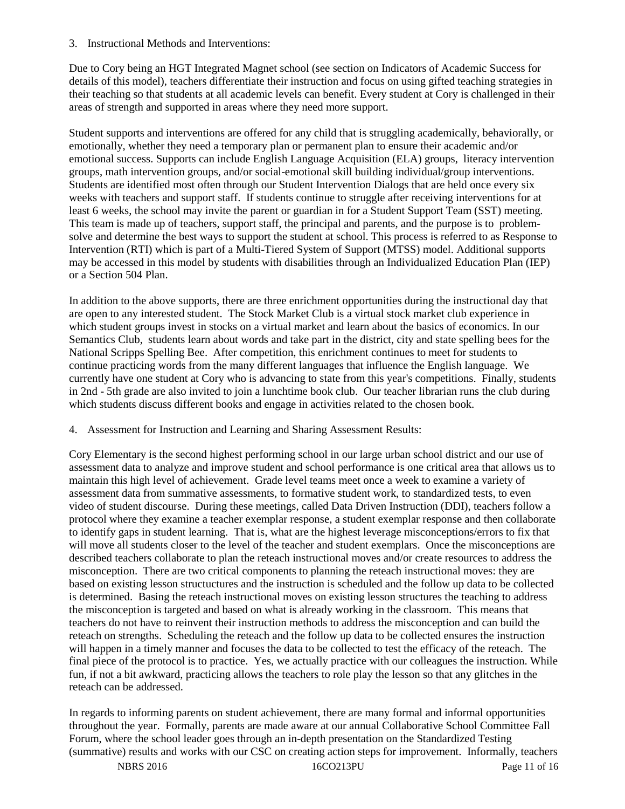3. Instructional Methods and Interventions:

Due to Cory being an HGT Integrated Magnet school (see section on Indicators of Academic Success for details of this model), teachers differentiate their instruction and focus on using gifted teaching strategies in their teaching so that students at all academic levels can benefit. Every student at Cory is challenged in their areas of strength and supported in areas where they need more support.

Student supports and interventions are offered for any child that is struggling academically, behaviorally, or emotionally, whether they need a temporary plan or permanent plan to ensure their academic and/or emotional success. Supports can include English Language Acquisition (ELA) groups, literacy intervention groups, math intervention groups, and/or social-emotional skill building individual/group interventions. Students are identified most often through our Student Intervention Dialogs that are held once every six weeks with teachers and support staff. If students continue to struggle after receiving interventions for at least 6 weeks, the school may invite the parent or guardian in for a Student Support Team (SST) meeting. This team is made up of teachers, support staff, the principal and parents, and the purpose is to problemsolve and determine the best ways to support the student at school. This process is referred to as Response to Intervention (RTI) which is part of a Multi-Tiered System of Support (MTSS) model. Additional supports may be accessed in this model by students with disabilities through an Individualized Education Plan (IEP) or a Section 504 Plan.

In addition to the above supports, there are three enrichment opportunities during the instructional day that are open to any interested student. The Stock Market Club is a virtual stock market club experience in which student groups invest in stocks on a virtual market and learn about the basics of economics. In our Semantics Club, students learn about words and take part in the district, city and state spelling bees for the National Scripps Spelling Bee. After competition, this enrichment continues to meet for students to continue practicing words from the many different languages that influence the English language. We currently have one student at Cory who is advancing to state from this year's competitions. Finally, students in 2nd - 5th grade are also invited to join a lunchtime book club. Our teacher librarian runs the club during which students discuss different books and engage in activities related to the chosen book.

4. Assessment for Instruction and Learning and Sharing Assessment Results:

Cory Elementary is the second highest performing school in our large urban school district and our use of assessment data to analyze and improve student and school performance is one critical area that allows us to maintain this high level of achievement. Grade level teams meet once a week to examine a variety of assessment data from summative assessments, to formative student work, to standardized tests, to even video of student discourse. During these meetings, called Data Driven Instruction (DDI), teachers follow a protocol where they examine a teacher exemplar response, a student exemplar response and then collaborate to identify gaps in student learning. That is, what are the highest leverage misconceptions/errors to fix that will move all students closer to the level of the teacher and student exemplars. Once the misconceptions are described teachers collaborate to plan the reteach instructional moves and/or create resources to address the misconception. There are two critical components to planning the reteach instructional moves: they are based on existing lesson structuctures and the instruction is scheduled and the follow up data to be collected is determined. Basing the reteach instructional moves on existing lesson structures the teaching to address the misconception is targeted and based on what is already working in the classroom. This means that teachers do not have to reinvent their instruction methods to address the misconception and can build the reteach on strengths. Scheduling the reteach and the follow up data to be collected ensures the instruction will happen in a timely manner and focuses the data to be collected to test the efficacy of the reteach. The final piece of the protocol is to practice. Yes, we actually practice with our colleagues the instruction. While fun, if not a bit awkward, practicing allows the teachers to role play the lesson so that any glitches in the reteach can be addressed.

In regards to informing parents on student achievement, there are many formal and informal opportunities throughout the year. Formally, parents are made aware at our annual Collaborative School Committee Fall Forum, where the school leader goes through an in-depth presentation on the Standardized Testing (summative) results and works with our CSC on creating action steps for improvement. Informally, teachers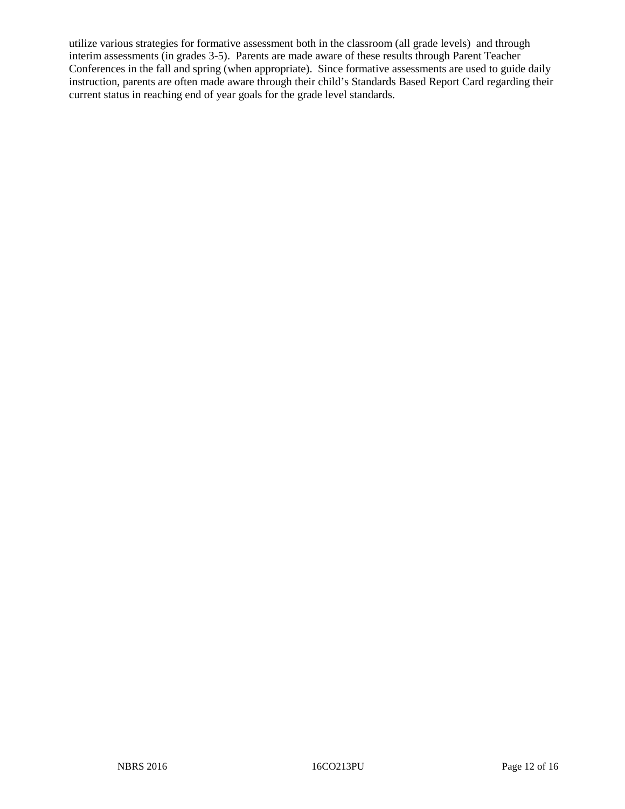utilize various strategies for formative assessment both in the classroom (all grade levels) and through interim assessments (in grades 3-5). Parents are made aware of these results through Parent Teacher Conferences in the fall and spring (when appropriate). Since formative assessments are used to guide daily instruction, parents are often made aware through their child's Standards Based Report Card regarding their current status in reaching end of year goals for the grade level standards.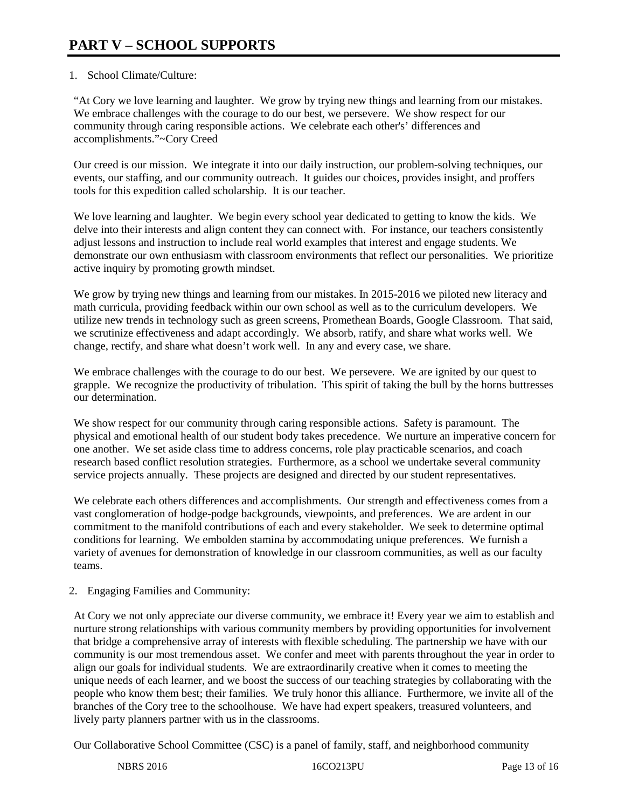## 1. School Climate/Culture:

"At Cory we love learning and laughter. We grow by trying new things and learning from our mistakes. We embrace challenges with the courage to do our best, we persevere. We show respect for our community through caring responsible actions. We celebrate each other's' differences and accomplishments."~Cory Creed

Our creed is our mission. We integrate it into our daily instruction, our problem-solving techniques, our events, our staffing, and our community outreach. It guides our choices, provides insight, and proffers tools for this expedition called scholarship. It is our teacher.

We love learning and laughter. We begin every school year dedicated to getting to know the kids. We delve into their interests and align content they can connect with. For instance, our teachers consistently adjust lessons and instruction to include real world examples that interest and engage students. We demonstrate our own enthusiasm with classroom environments that reflect our personalities. We prioritize active inquiry by promoting growth mindset.

We grow by trying new things and learning from our mistakes. In 2015-2016 we piloted new literacy and math curricula, providing feedback within our own school as well as to the curriculum developers. We utilize new trends in technology such as green screens, Promethean Boards, Google Classroom. That said, we scrutinize effectiveness and adapt accordingly. We absorb, ratify, and share what works well. We change, rectify, and share what doesn't work well. In any and every case, we share.

We embrace challenges with the courage to do our best. We persevere. We are ignited by our quest to grapple. We recognize the productivity of tribulation. This spirit of taking the bull by the horns buttresses our determination.

We show respect for our community through caring responsible actions. Safety is paramount. The physical and emotional health of our student body takes precedence. We nurture an imperative concern for one another. We set aside class time to address concerns, role play practicable scenarios, and coach research based conflict resolution strategies. Furthermore, as a school we undertake several community service projects annually. These projects are designed and directed by our student representatives.

We celebrate each others differences and accomplishments. Our strength and effectiveness comes from a vast conglomeration of hodge-podge backgrounds, viewpoints, and preferences. We are ardent in our commitment to the manifold contributions of each and every stakeholder. We seek to determine optimal conditions for learning. We embolden stamina by accommodating unique preferences. We furnish a variety of avenues for demonstration of knowledge in our classroom communities, as well as our faculty teams.

## 2. Engaging Families and Community:

At Cory we not only appreciate our diverse community, we embrace it! Every year we aim to establish and nurture strong relationships with various community members by providing opportunities for involvement that bridge a comprehensive array of interests with flexible scheduling. The partnership we have with our community is our most tremendous asset. We confer and meet with parents throughout the year in order to align our goals for individual students. We are extraordinarily creative when it comes to meeting the unique needs of each learner, and we boost the success of our teaching strategies by collaborating with the people who know them best; their families. We truly honor this alliance. Furthermore, we invite all of the branches of the Cory tree to the schoolhouse. We have had expert speakers, treasured volunteers, and lively party planners partner with us in the classrooms.

Our Collaborative School Committee (CSC) is a panel of family, staff, and neighborhood community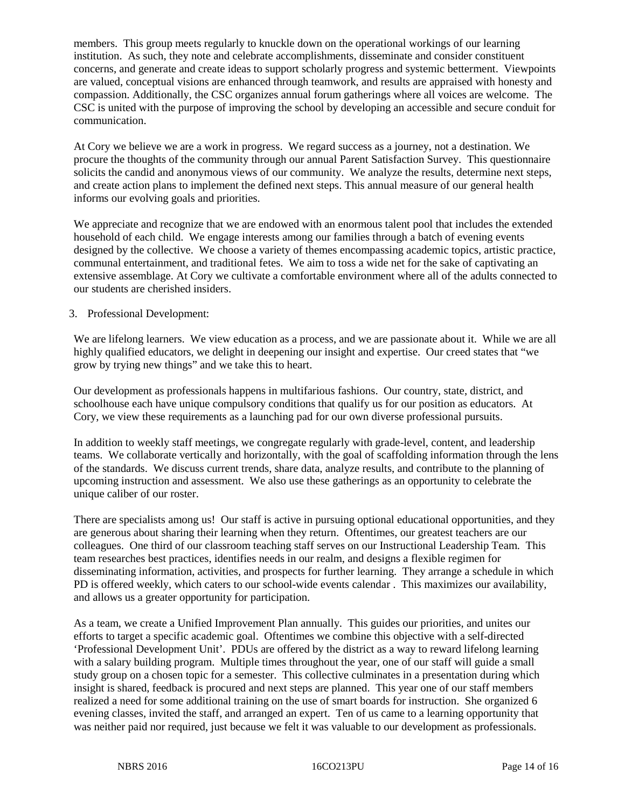members. This group meets regularly to knuckle down on the operational workings of our learning institution. As such, they note and celebrate accomplishments, disseminate and consider constituent concerns, and generate and create ideas to support scholarly progress and systemic betterment. Viewpoints are valued, conceptual visions are enhanced through teamwork, and results are appraised with honesty and compassion. Additionally, the CSC organizes annual forum gatherings where all voices are welcome. The CSC is united with the purpose of improving the school by developing an accessible and secure conduit for communication.

At Cory we believe we are a work in progress. We regard success as a journey, not a destination. We procure the thoughts of the community through our annual Parent Satisfaction Survey. This questionnaire solicits the candid and anonymous views of our community. We analyze the results, determine next steps, and create action plans to implement the defined next steps. This annual measure of our general health informs our evolving goals and priorities.

We appreciate and recognize that we are endowed with an enormous talent pool that includes the extended household of each child. We engage interests among our families through a batch of evening events designed by the collective. We choose a variety of themes encompassing academic topics, artistic practice, communal entertainment, and traditional fetes. We aim to toss a wide net for the sake of captivating an extensive assemblage. At Cory we cultivate a comfortable environment where all of the adults connected to our students are cherished insiders.

#### 3. Professional Development:

We are lifelong learners. We view education as a process, and we are passionate about it. While we are all highly qualified educators, we delight in deepening our insight and expertise. Our creed states that "we grow by trying new things" and we take this to heart.

Our development as professionals happens in multifarious fashions. Our country, state, district, and schoolhouse each have unique compulsory conditions that qualify us for our position as educators. At Cory, we view these requirements as a launching pad for our own diverse professional pursuits.

In addition to weekly staff meetings, we congregate regularly with grade-level, content, and leadership teams. We collaborate vertically and horizontally, with the goal of scaffolding information through the lens of the standards. We discuss current trends, share data, analyze results, and contribute to the planning of upcoming instruction and assessment. We also use these gatherings as an opportunity to celebrate the unique caliber of our roster.

There are specialists among us! Our staff is active in pursuing optional educational opportunities, and they are generous about sharing their learning when they return. Oftentimes, our greatest teachers are our colleagues. One third of our classroom teaching staff serves on our Instructional Leadership Team. This team researches best practices, identifies needs in our realm, and designs a flexible regimen for disseminating information, activities, and prospects for further learning. They arrange a schedule in which PD is offered weekly, which caters to our school-wide events calendar . This maximizes our availability, and allows us a greater opportunity for participation.

As a team, we create a Unified Improvement Plan annually. This guides our priorities, and unites our efforts to target a specific academic goal. Oftentimes we combine this objective with a self-directed 'Professional Development Unit'. PDUs are offered by the district as a way to reward lifelong learning with a salary building program. Multiple times throughout the year, one of our staff will guide a small study group on a chosen topic for a semester. This collective culminates in a presentation during which insight is shared, feedback is procured and next steps are planned. This year one of our staff members realized a need for some additional training on the use of smart boards for instruction. She organized 6 evening classes, invited the staff, and arranged an expert. Ten of us came to a learning opportunity that was neither paid nor required, just because we felt it was valuable to our development as professionals.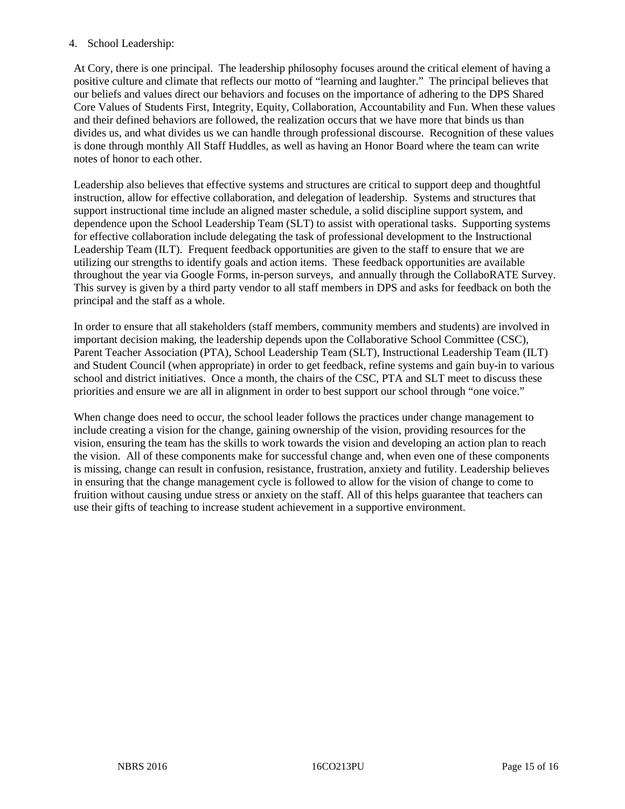#### 4. School Leadership:

At Cory, there is one principal. The leadership philosophy focuses around the critical element of having a positive culture and climate that reflects our motto of "learning and laughter." The principal believes that our beliefs and values direct our behaviors and focuses on the importance of adhering to the DPS Shared Core Values of Students First, Integrity, Equity, Collaboration, Accountability and Fun. When these values and their defined behaviors are followed, the realization occurs that we have more that binds us than divides us, and what divides us we can handle through professional discourse. Recognition of these values is done through monthly All Staff Huddles, as well as having an Honor Board where the team can write notes of honor to each other.

Leadership also believes that effective systems and structures are critical to support deep and thoughtful instruction, allow for effective collaboration, and delegation of leadership. Systems and structures that support instructional time include an aligned master schedule, a solid discipline support system, and dependence upon the School Leadership Team (SLT) to assist with operational tasks. Supporting systems for effective collaboration include delegating the task of professional development to the Instructional Leadership Team (ILT). Frequent feedback opportunities are given to the staff to ensure that we are utilizing our strengths to identify goals and action items. These feedback opportunities are available throughout the year via Google Forms, in-person surveys, and annually through the CollaboRATE Survey. This survey is given by a third party vendor to all staff members in DPS and asks for feedback on both the principal and the staff as a whole.

In order to ensure that all stakeholders (staff members, community members and students) are involved in important decision making, the leadership depends upon the Collaborative School Committee (CSC), Parent Teacher Association (PTA), School Leadership Team (SLT), Instructional Leadership Team (ILT) and Student Council (when appropriate) in order to get feedback, refine systems and gain buy-in to various school and district initiatives. Once a month, the chairs of the CSC, PTA and SLT meet to discuss these priorities and ensure we are all in alignment in order to best support our school through "one voice."

When change does need to occur, the school leader follows the practices under change management to include creating a vision for the change, gaining ownership of the vision, providing resources for the vision, ensuring the team has the skills to work towards the vision and developing an action plan to reach the vision. All of these components make for successful change and, when even one of these components is missing, change can result in confusion, resistance, frustration, anxiety and futility. Leadership believes in ensuring that the change management cycle is followed to allow for the vision of change to come to fruition without causing undue stress or anxiety on the staff. All of this helps guarantee that teachers can use their gifts of teaching to increase student achievement in a supportive environment.